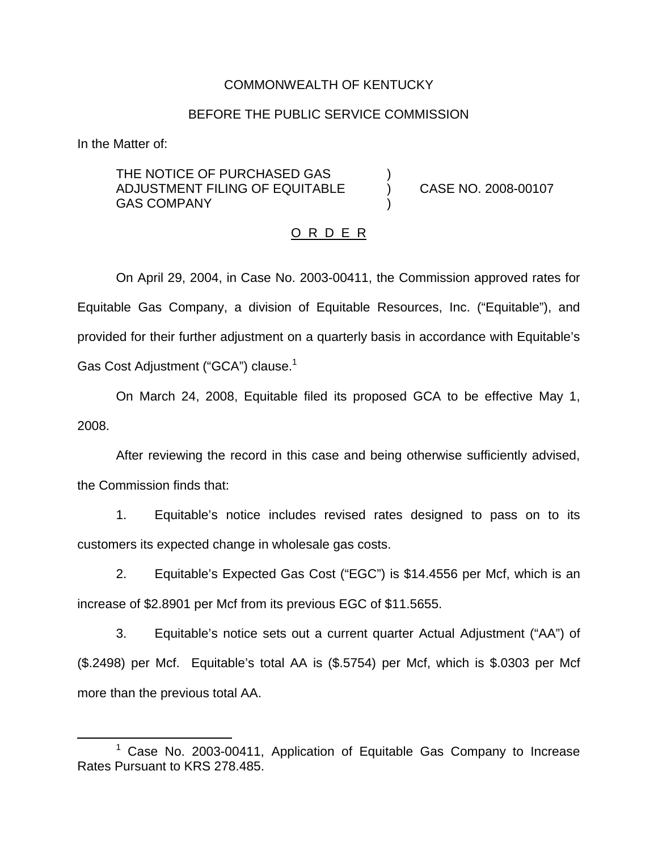## COMMONWEALTH OF KENTUCKY

## BEFORE THE PUBLIC SERVICE COMMISSION

In the Matter of:

THE NOTICE OF PURCHASED GAS ADJUSTMENT FILING OF EQUITABLE ) CASE NO. 2008-00107 **GAS COMPANY** 

#### O R D E R

On April 29, 2004, in Case No. 2003-00411, the Commission approved rates for Equitable Gas Company, a division of Equitable Resources, Inc. ("Equitable"), and provided for their further adjustment on a quarterly basis in accordance with Equitable's Gas Cost Adjustment ("GCA") clause.<sup>1</sup>

On March 24, 2008, Equitable filed its proposed GCA to be effective May 1, 2008.

After reviewing the record in this case and being otherwise sufficiently advised, the Commission finds that:

1. Equitable's notice includes revised rates designed to pass on to its customers its expected change in wholesale gas costs.

2. Equitable's Expected Gas Cost ("EGC") is \$14.4556 per Mcf, which is an increase of \$2.8901 per Mcf from its previous EGC of \$11.5655.

3. Equitable's notice sets out a current quarter Actual Adjustment ("AA") of (\$.2498) per Mcf. Equitable's total AA is (\$.5754) per Mcf, which is \$.0303 per Mcf more than the previous total AA.

 $1$  Case No. 2003-00411, Application of Equitable Gas Company to Increase Rates Pursuant to KRS 278.485.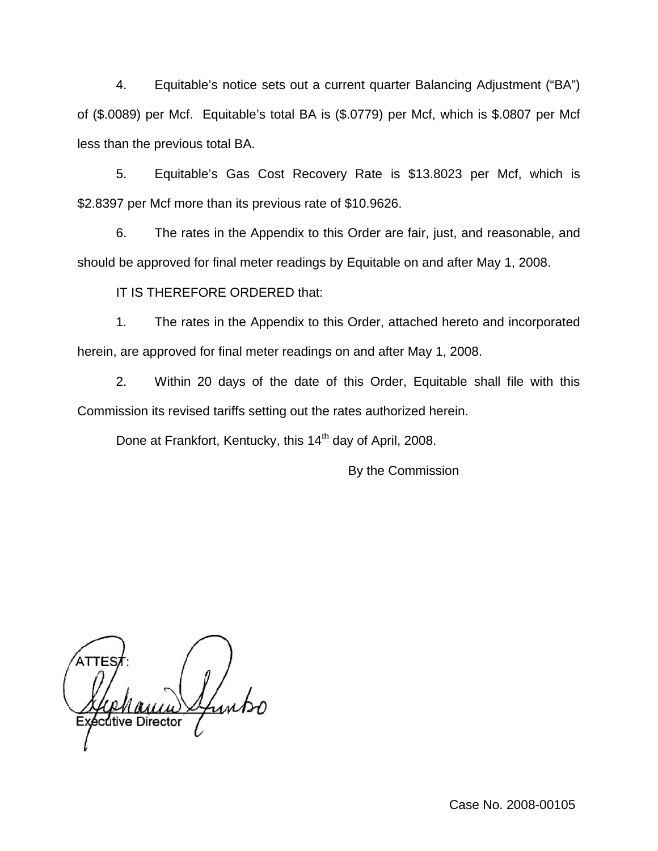4. Equitable's notice sets out a current quarter Balancing Adjustment ("BA") of (\$.0089) per Mcf. Equitable's total BA is (\$.0779) per Mcf, which is \$.0807 per Mcf less than the previous total BA.

5. Equitable's Gas Cost Recovery Rate is \$13.8023 per Mcf, which is \$2.8397 per Mcf more than its previous rate of \$10.9626.

6. The rates in the Appendix to this Order are fair, just, and reasonable, and should be approved for final meter readings by Equitable on and after May 1, 2008.

IT IS THEREFORE ORDERED that:

1. The rates in the Appendix to this Order, attached hereto and incorporated herein, are approved for final meter readings on and after May 1, 2008.

2. Within 20 days of the date of this Order, Equitable shall file with this Commission its revised tariffs setting out the rates authorized herein.

Done at Frankfort, Kentucky, this 14<sup>th</sup> day of April, 2008.

By the Commission

cutive Director